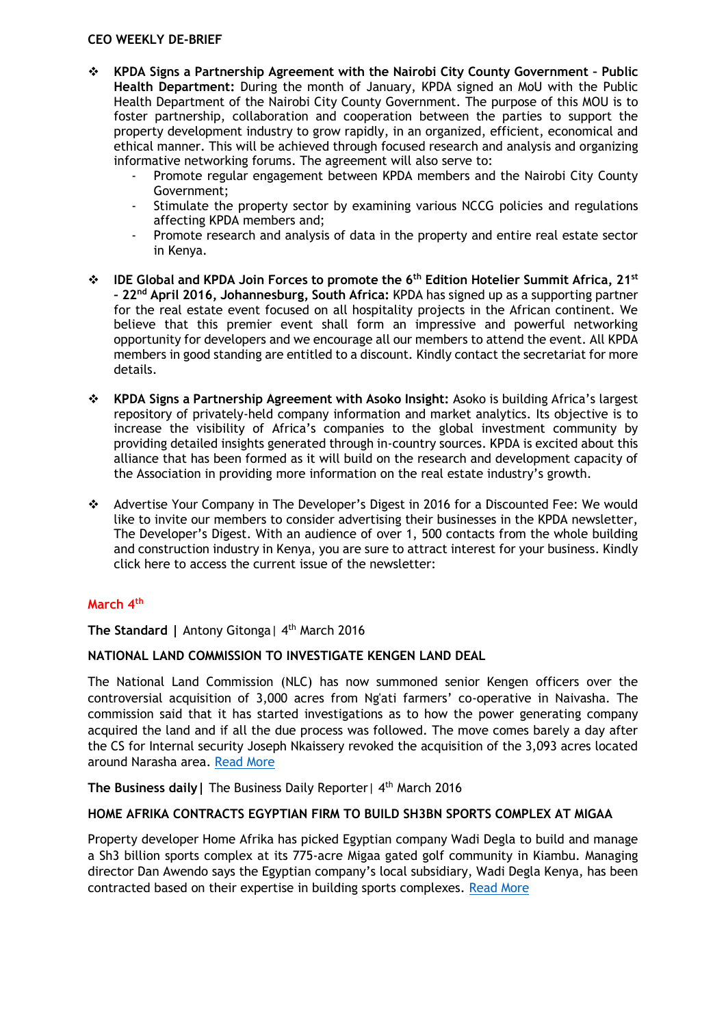#### **CEO WEEKLY DE-BRIEF**

- **KPDA Signs a Partnership Agreement with the Nairobi City County Government – Public Health Department:** During the month of January, KPDA signed an MoU with the Public Health Department of the Nairobi City County Government. The purpose of this MOU is to foster partnership, collaboration and cooperation between the parties to support the property development industry to grow rapidly, in an organized, efficient, economical and ethical manner. This will be achieved through focused research and analysis and organizing informative networking forums. The agreement will also serve to:
	- Promote regular engagement between KPDA members and the Nairobi City County Government;
	- Stimulate the property sector by examining various NCCG policies and regulations affecting KPDA members and;
	- Promote research and analysis of data in the property and entire real estate sector in Kenya.
- **IDE Global and KPDA Join Forces to promote the 6th Edition Hotelier Summit Africa, 21st – 22nd April 2016, Johannesburg, South Africa:** KPDA has signed up as a supporting partner for the real estate event focused on all hospitality projects in the African continent. We believe that this premier event shall form an impressive and powerful networking opportunity for developers and we encourage all our members to attend the event. All KPDA members in good standing are entitled to a discount. Kindly contact the secretariat for more details.
- **KPDA Signs a Partnership Agreement with Asoko Insight:** Asoko is building Africa's largest repository of privately-held company information and market analytics. Its objective is to increase the visibility of Africa's companies to the global investment community by providing detailed insights generated through in-country sources. KPDA is excited about this alliance that has been formed as it will build on the research and development capacity of the Association in providing more information on the real estate industry's growth.
- Advertise Your Company in The Developer's Digest in 2016 for a Discounted Fee: We would like to invite our members to consider advertising their businesses in the KPDA newsletter, The Developer's Digest. With an audience of over 1, 500 contacts from the whole building and construction industry in Kenya, you are sure to attract interest for your business. Kindly click here to access the current issue of the newsletter:

# **March 4th**

The Standard | Antony Gitonga | 4<sup>th</sup> March 2016

#### **NATIONAL LAND COMMISSION TO INVESTIGATE KENGEN LAND DEAL**

The National Land Commission (NLC) has now summoned senior Kengen officers over the controversial acquisition of 3,000 acres from Ng'ati farmers' co-operative in Naivasha. The commission said that it has started investigations as to how the power generating company acquired the land and if all the due process was followed. The move comes barely a day after the CS for Internal security Joseph Nkaissery revoked the acquisition of the 3,093 acres located around Narasha area. [Read More](http://www.standardmedia.co.ke/business/article/2000193708/land-commission-to-investigate-kengen-land-deal)

**The Business daily | The Business Daily Reporter | 4<sup>th</sup> March 2016** 

# **HOME AFRIKA CONTRACTS EGYPTIAN FIRM TO BUILD SH3BN SPORTS COMPLEX AT MIGAA**

Property developer Home Afrika has picked Egyptian company Wadi Degla to build and manage a Sh3 billion sports complex at its 775-acre Migaa gated golf community in Kiambu. Managing director Dan Awendo says the Egyptian company's local subsidiary, Wadi Degla Kenya, has been contracted based on their expertise in building sports complexes. [Read More](http://www.businessdailyafrica.com/Corporate-News/Home-Afrika-contracts-Egyptian-firm-to-build-Sh3bn-sports/-/539550/3100828/-/9eca2l/-/index.html)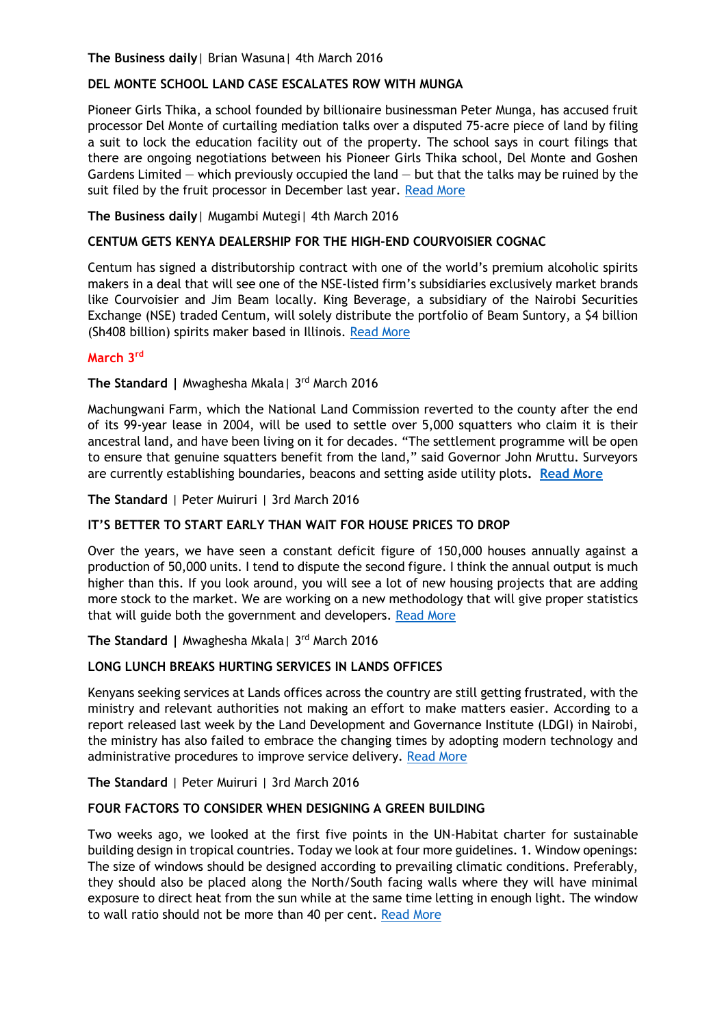## **The Business daily**| Brian Wasuna| 4th March 2016

## **DEL MONTE SCHOOL LAND CASE ESCALATES ROW WITH MUNGA**

Pioneer Girls Thika, a school founded by billionaire businessman Peter Munga, has accused fruit processor Del Monte of curtailing mediation talks over a disputed 75-acre piece of land by filing a suit to lock the education facility out of the property. The school says in court filings that there are ongoing negotiations between his Pioneer Girls Thika school, Del Monte and Goshen Gardens Limited  $-$  which previously occupied the land  $-$  but that the talks may be ruined by the suit filed by the fruit processor in December last year. [Read More](http://www.businessdailyafrica.com/Corporate-News/Del-Monte-school-land-case-escalates-row-with-Munga/-/539550/3100880/-/1492idsz/-/index.html)

## **The Business daily**| Mugambi Mutegi| 4th March 2016

## **CENTUM GETS KENYA DEALERSHIP FOR THE HIGH-END COURVOISIER COGNAC**

Centum has signed a distributorship contract with one of the world's premium alcoholic spirits makers in a deal that will see one of the NSE-listed firm's subsidiaries exclusively market brands like Courvoisier and Jim Beam locally. King Beverage, a subsidiary of the Nairobi Securities Exchange (NSE) traded Centum, will solely distribute the portfolio of Beam Suntory, a \$4 billion (Sh408 billion) spirits maker based in Illinois. [Read More](http://www.businessdailyafrica.com/Corporate-News/Centum-Kenya-dealership-for-Courvoisier-cognac--/-/539550/3100778/-/y51k61z/-/index.html)

# **March 3rd**

# **The Standard |** Mwaghesha Mkala| 3rd March 2016

Machungwani Farm, which the National Land Commission reverted to the county after the end of its 99-year lease in 2004, will be used to settle over 5,000 squatters who claim it is their ancestral land, and have been living on it for decades. "The settlement programme will be open to ensure that genuine squatters benefit from the land," said Governor John Mruttu. Surveyors are currently establishing boundaries, beacons and setting aside utility plots**. [Read More](http://www.standardmedia.co.ke/lifestyle/article/2000193644/taveta-county-to-settle-5-000-squatters-on-criticos-farm)**

**The Standard** | Peter Muiruri | 3rd March 2016

#### **IT'S BETTER TO START EARLY THAN WAIT FOR HOUSE PRICES TO DROP**

Over the years, we have seen a constant deficit figure of 150,000 houses annually against a production of 50,000 units. I tend to dispute the second figure. I think the annual output is much higher than this. If you look around, you will see a lot of new housing projects that are adding more stock to the market. We are working on a new methodology that will give proper statistics that will guide both the government and developers. [Read More](http://www.standardmedia.co.ke/lifestyle/article/2000193658/it-s-better-to-start-early-than-wait-for-house-prices-to-drop)

**The Standard |** Mwaghesha Mkala| 3rd March 2016

#### **LONG LUNCH BREAKS HURTING SERVICES IN LANDS OFFICES**

Kenyans seeking services at Lands offices across the country are still getting frustrated, with the ministry and relevant authorities not making an effort to make matters easier. According to a report released last week by the Land Development and Governance Institute (LDGI) in Nairobi, the ministry has also failed to embrace the changing times by adopting modern technology and administrative procedures to improve service delivery. [Read More](http://www.standardmedia.co.ke/lifestyle/article/2000193653/long-lunch-breaks-hurting-services-in-lands-offices)

#### **The Standard** | Peter Muiruri | 3rd March 2016

#### **FOUR FACTORS TO CONSIDER WHEN DESIGNING A GREEN BUILDING**

Two weeks ago, we looked at the first five points in the UN-Habitat charter for sustainable building design in tropical countries. Today we look at four more guidelines. 1. Window openings: The size of windows should be designed according to prevailing climatic conditions. Preferably, they should also be placed along the North/South facing walls where they will have minimal exposure to direct heat from the sun while at the same time letting in enough light. The window to wall ratio should not be more than 40 per cent. [Read More](http://www.standardmedia.co.ke/lifestyle/article/2000193638/four-factors-to-consider-when-designing-a-green-building)